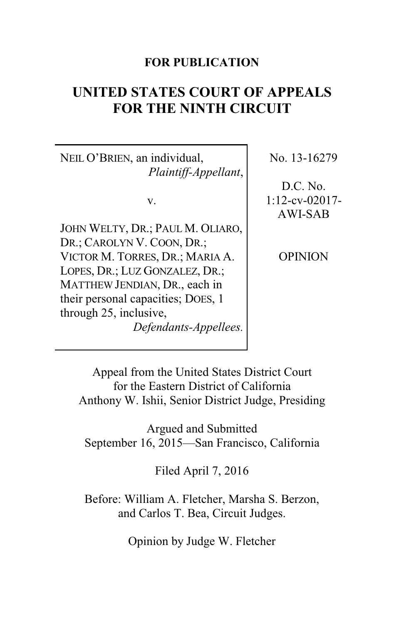### **FOR PUBLICATION**

# **UNITED STATES COURT OF APPEALS FOR THE NINTH CIRCUIT**

NEIL O'BRIEN, an individual, *Plaintiff-Appellant*,

v.

JOHN WELTY, DR.; PAUL M. OLIARO, DR.; CAROLYN V. COON, DR.; VICTOR M. TORRES, DR.; MARIA A. LOPES, DR.; LUZ GONZALEZ, DR.; MATTHEW JENDIAN, DR., each in their personal capacities; DOES, 1 through 25, inclusive, *Defendants-Appellees.* No. 13-16279

D.C. No. 1:12-cv-02017- AWI-SAB

**OPINION** 

Appeal from the United States District Court for the Eastern District of California Anthony W. Ishii, Senior District Judge, Presiding

Argued and Submitted September 16, 2015—San Francisco, California

Filed April 7, 2016

Before: William A. Fletcher, Marsha S. Berzon, and Carlos T. Bea, Circuit Judges.

Opinion by Judge W. Fletcher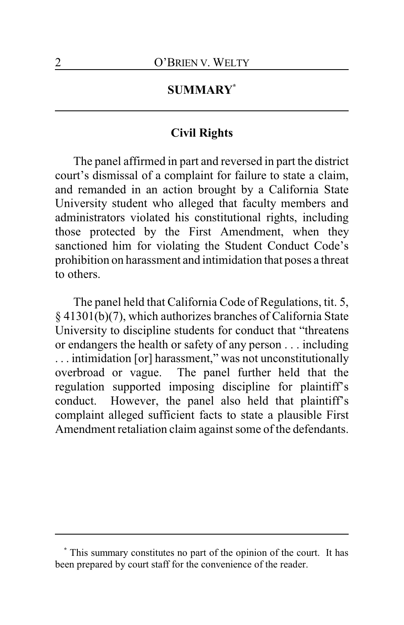## **SUMMARY\***

#### **Civil Rights**

The panel affirmed in part and reversed in part the district court's dismissal of a complaint for failure to state a claim, and remanded in an action brought by a California State University student who alleged that faculty members and administrators violated his constitutional rights, including those protected by the First Amendment, when they sanctioned him for violating the Student Conduct Code's prohibition on harassment and intimidation that poses a threat to others.

The panel held that California Code of Regulations, tit. 5, § 41301(b)(7), which authorizes branches of California State University to discipline students for conduct that "threatens or endangers the health or safety of any person . . . including . . . intimidation [or] harassment," was not unconstitutionally overbroad or vague. The panel further held that the regulation supported imposing discipline for plaintiff's conduct. However, the panel also held that plaintiff's complaint alleged sufficient facts to state a plausible First Amendment retaliation claim against some of the defendants.

**<sup>\*</sup>** This summary constitutes no part of the opinion of the court. It has been prepared by court staff for the convenience of the reader.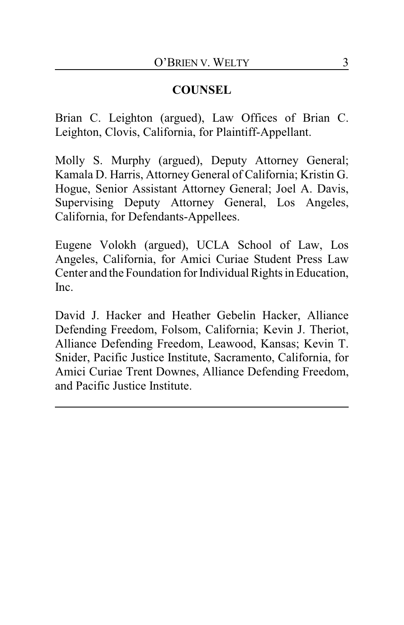## **COUNSEL**

Brian C. Leighton (argued), Law Offices of Brian C. Leighton, Clovis, California, for Plaintiff-Appellant.

Molly S. Murphy (argued), Deputy Attorney General; Kamala D. Harris, Attorney General of California; Kristin G. Hogue, Senior Assistant Attorney General; Joel A. Davis, Supervising Deputy Attorney General, Los Angeles, California, for Defendants-Appellees.

Eugene Volokh (argued), UCLA School of Law, Los Angeles, California, for Amici Curiae Student Press Law Center and the Foundation for Individual Rights in Education, Inc.

David J. Hacker and Heather Gebelin Hacker, Alliance Defending Freedom, Folsom, California; Kevin J. Theriot, Alliance Defending Freedom, Leawood, Kansas; Kevin T. Snider, Pacific Justice Institute, Sacramento, California, for Amici Curiae Trent Downes, Alliance Defending Freedom, and Pacific Justice Institute.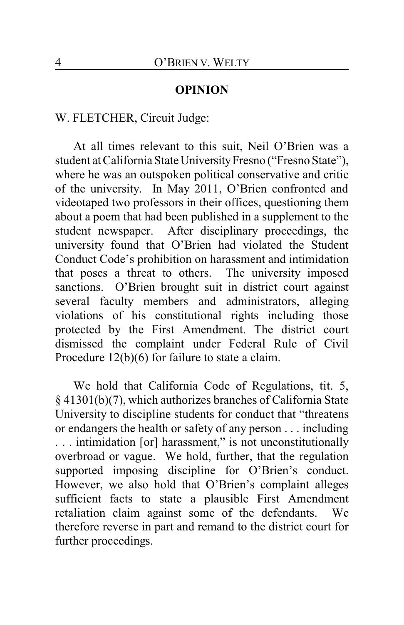#### **OPINION**

#### W. FLETCHER, Circuit Judge:

At all times relevant to this suit, Neil O'Brien was a student at California State University Fresno ("Fresno State"), where he was an outspoken political conservative and critic of the university. In May 2011, O'Brien confronted and videotaped two professors in their offices, questioning them about a poem that had been published in a supplement to the student newspaper. After disciplinary proceedings, the university found that O'Brien had violated the Student Conduct Code's prohibition on harassment and intimidation that poses a threat to others. The university imposed sanctions. O'Brien brought suit in district court against several faculty members and administrators, alleging violations of his constitutional rights including those protected by the First Amendment. The district court dismissed the complaint under Federal Rule of Civil Procedure 12(b)(6) for failure to state a claim.

We hold that California Code of Regulations, tit. 5, § 41301(b)(7), which authorizes branches of California State University to discipline students for conduct that "threatens or endangers the health or safety of any person . . . including . . . intimidation [or] harassment," is not unconstitutionally overbroad or vague. We hold, further, that the regulation supported imposing discipline for O'Brien's conduct. However, we also hold that O'Brien's complaint alleges sufficient facts to state a plausible First Amendment retaliation claim against some of the defendants. We therefore reverse in part and remand to the district court for further proceedings.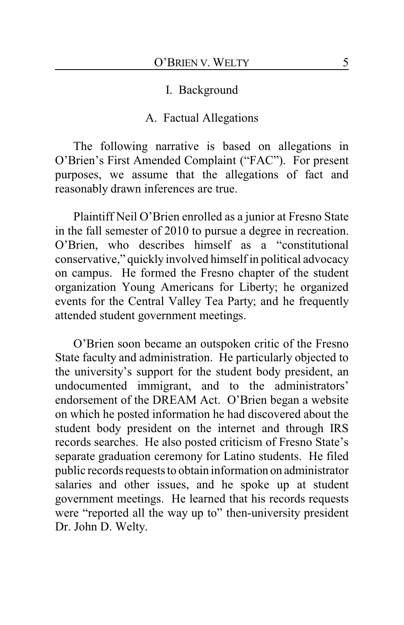#### I. Background

#### A. Factual Allegations

The following narrative is based on allegations in O'Brien's First Amended Complaint ("FAC"). For present purposes, we assume that the allegations of fact and reasonably drawn inferences are true.

Plaintiff Neil O'Brien enrolled as a junior at Fresno State in the fall semester of 2010 to pursue a degree in recreation. O'Brien, who describes himself as a "constitutional conservative," quickly involved himself in political advocacy on campus. He formed the Fresno chapter of the student organization Young Americans for Liberty; he organized events for the Central Valley Tea Party; and he frequently attended student government meetings.

O'Brien soon became an outspoken critic of the Fresno State faculty and administration. He particularly objected to the university's support for the student body president, an undocumented immigrant, and to the administrators' endorsement of the DREAM Act. O'Brien began a website on which he posted information he had discovered about the student body president on the internet and through IRS records searches. He also posted criticism of Fresno State's separate graduation ceremony for Latino students. He filed public records requests to obtain information on administrator salaries and other issues, and he spoke up at student government meetings. He learned that his records requests were "reported all the way up to" then-university president Dr. John D. Welty.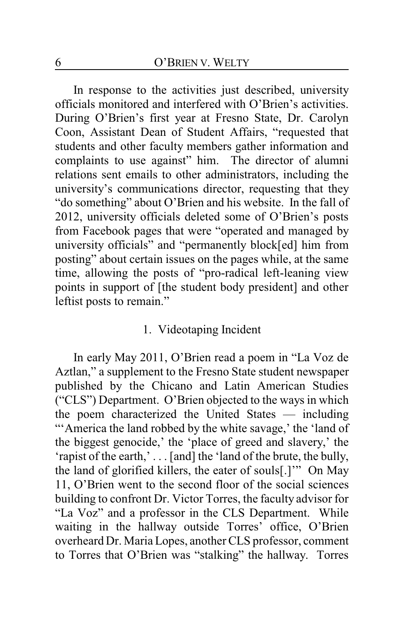In response to the activities just described, university officials monitored and interfered with O'Brien's activities. During O'Brien's first year at Fresno State, Dr. Carolyn Coon, Assistant Dean of Student Affairs, "requested that students and other faculty members gather information and complaints to use against" him. The director of alumni relations sent emails to other administrators, including the university's communications director, requesting that they "do something" about O'Brien and his website. In the fall of 2012, university officials deleted some of O'Brien's posts from Facebook pages that were "operated and managed by university officials" and "permanently block[ed] him from posting" about certain issues on the pages while, at the same time, allowing the posts of "pro-radical left-leaning view points in support of [the student body president] and other leftist posts to remain."

#### 1. Videotaping Incident

In early May 2011, O'Brien read a poem in "La Voz de Aztlan," a supplement to the Fresno State student newspaper published by the Chicano and Latin American Studies ("CLS") Department. O'Brien objected to the ways in which the poem characterized the United States — including "'America the land robbed by the white savage,' the 'land of the biggest genocide,' the 'place of greed and slavery,' the 'rapist of the earth,' . . . [and] the 'land of the brute, the bully, the land of glorified killers, the eater of souls[.]'" On May 11, O'Brien went to the second floor of the social sciences building to confront Dr. Victor Torres, the faculty advisor for "La Voz" and a professor in the CLS Department. While waiting in the hallway outside Torres' office, O'Brien overheard Dr. Maria Lopes, another CLS professor, comment to Torres that O'Brien was "stalking" the hallway. Torres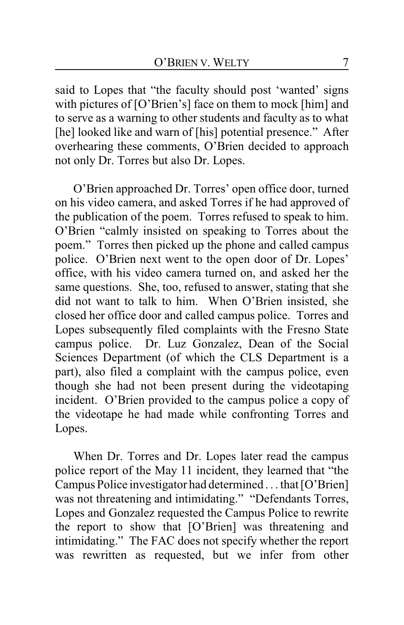said to Lopes that "the faculty should post 'wanted' signs with pictures of [O'Brien's] face on them to mock [him] and to serve as a warning to other students and faculty as to what [he] looked like and warn of [his] potential presence." After overhearing these comments, O'Brien decided to approach not only Dr. Torres but also Dr. Lopes.

O'Brien approached Dr. Torres' open office door, turned on his video camera, and asked Torres if he had approved of the publication of the poem. Torres refused to speak to him. O'Brien "calmly insisted on speaking to Torres about the poem." Torres then picked up the phone and called campus police. O'Brien next went to the open door of Dr. Lopes' office, with his video camera turned on, and asked her the same questions. She, too, refused to answer, stating that she did not want to talk to him. When O'Brien insisted, she closed her office door and called campus police. Torres and Lopes subsequently filed complaints with the Fresno State campus police. Dr. Luz Gonzalez, Dean of the Social Sciences Department (of which the CLS Department is a part), also filed a complaint with the campus police, even though she had not been present during the videotaping incident. O'Brien provided to the campus police a copy of the videotape he had made while confronting Torres and Lopes.

When Dr. Torres and Dr. Lopes later read the campus police report of the May 11 incident, they learned that "the Campus Police investigator had determined . . . that [O'Brien] was not threatening and intimidating." "Defendants Torres, Lopes and Gonzalez requested the Campus Police to rewrite the report to show that [O'Brien] was threatening and intimidating." The FAC does not specify whether the report was rewritten as requested, but we infer from other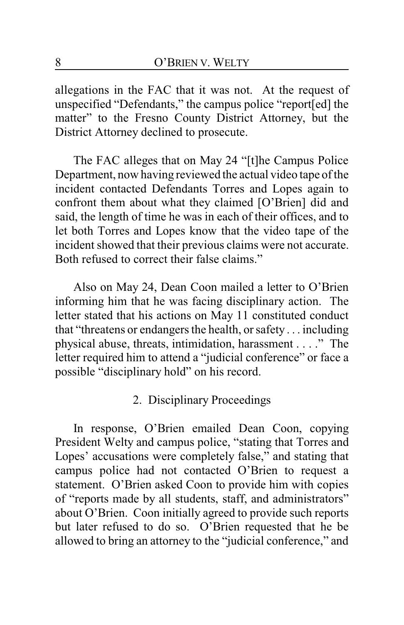allegations in the FAC that it was not. At the request of unspecified "Defendants," the campus police "report[ed] the matter" to the Fresno County District Attorney, but the District Attorney declined to prosecute.

The FAC alleges that on May 24 "[t]he Campus Police Department, now having reviewed the actual video tape of the incident contacted Defendants Torres and Lopes again to confront them about what they claimed [O'Brien] did and said, the length of time he was in each of their offices, and to let both Torres and Lopes know that the video tape of the incident showed that their previous claims were not accurate. Both refused to correct their false claims."

Also on May 24, Dean Coon mailed a letter to O'Brien informing him that he was facing disciplinary action. The letter stated that his actions on May 11 constituted conduct that "threatens or endangers the health, orsafety . . . including physical abuse, threats, intimidation, harassment . . . ." The letter required him to attend a "judicial conference" or face a possible "disciplinary hold" on his record.

## 2. Disciplinary Proceedings

In response, O'Brien emailed Dean Coon, copying President Welty and campus police, "stating that Torres and Lopes' accusations were completely false," and stating that campus police had not contacted O'Brien to request a statement. O'Brien asked Coon to provide him with copies of "reports made by all students, staff, and administrators" about O'Brien. Coon initially agreed to provide such reports but later refused to do so. O'Brien requested that he be allowed to bring an attorney to the "judicial conference," and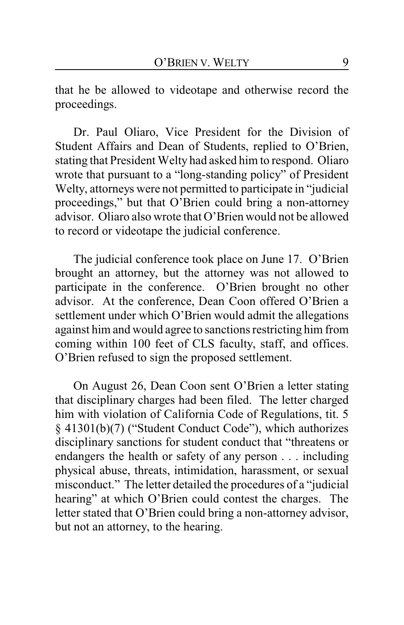that he be allowed to videotape and otherwise record the proceedings.

Dr. Paul Oliaro, Vice President for the Division of Student Affairs and Dean of Students, replied to O'Brien, stating that President Welty had asked him to respond. Oliaro wrote that pursuant to a "long-standing policy" of President Welty, attorneys were not permitted to participate in "judicial proceedings," but that O'Brien could bring a non-attorney advisor. Oliaro also wrote that O'Brien would not be allowed to record or videotape the judicial conference.

The judicial conference took place on June 17. O'Brien brought an attorney, but the attorney was not allowed to participate in the conference. O'Brien brought no other advisor. At the conference, Dean Coon offered O'Brien a settlement under which O'Brien would admit the allegations against him and would agree to sanctions restricting him from coming within 100 feet of CLS faculty, staff, and offices. O'Brien refused to sign the proposed settlement.

On August 26, Dean Coon sent O'Brien a letter stating that disciplinary charges had been filed. The letter charged him with violation of California Code of Regulations, tit. 5 § 41301(b)(7) ("Student Conduct Code"), which authorizes disciplinary sanctions for student conduct that "threatens or endangers the health or safety of any person . . . including physical abuse, threats, intimidation, harassment, or sexual misconduct." The letter detailed the procedures of a "judicial hearing" at which O'Brien could contest the charges. The letter stated that O'Brien could bring a non-attorney advisor, but not an attorney, to the hearing.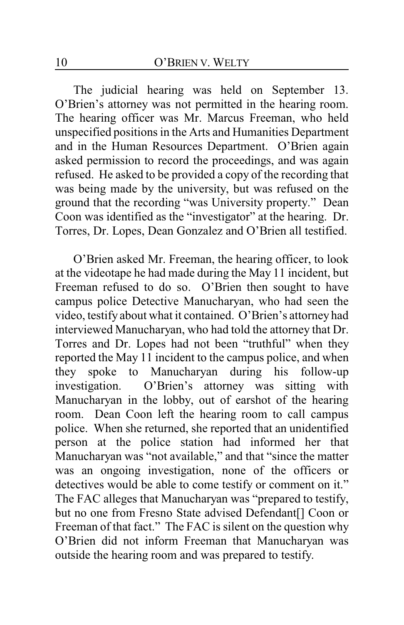The judicial hearing was held on September 13. O'Brien's attorney was not permitted in the hearing room. The hearing officer was Mr. Marcus Freeman, who held unspecified positions in the Arts and Humanities Department and in the Human Resources Department. O'Brien again asked permission to record the proceedings, and was again refused. He asked to be provided a copy of the recording that was being made by the university, but was refused on the ground that the recording "was University property." Dean Coon was identified as the "investigator" at the hearing. Dr. Torres, Dr. Lopes, Dean Gonzalez and O'Brien all testified.

O'Brien asked Mr. Freeman, the hearing officer, to look at the videotape he had made during the May 11 incident, but Freeman refused to do so. O'Brien then sought to have campus police Detective Manucharyan, who had seen the video, testify about what it contained. O'Brien's attorney had interviewed Manucharyan, who had told the attorney that Dr. Torres and Dr. Lopes had not been "truthful" when they reported the May 11 incident to the campus police, and when they spoke to Manucharyan during his follow-up investigation. O'Brien's attorney was sitting with Manucharyan in the lobby, out of earshot of the hearing room. Dean Coon left the hearing room to call campus police. When she returned, she reported that an unidentified person at the police station had informed her that Manucharyan was "not available," and that "since the matter was an ongoing investigation, none of the officers or detectives would be able to come testify or comment on it." The FAC alleges that Manucharyan was "prepared to testify, but no one from Fresno State advised Defendant[] Coon or Freeman of that fact." The FAC is silent on the question why O'Brien did not inform Freeman that Manucharyan was outside the hearing room and was prepared to testify.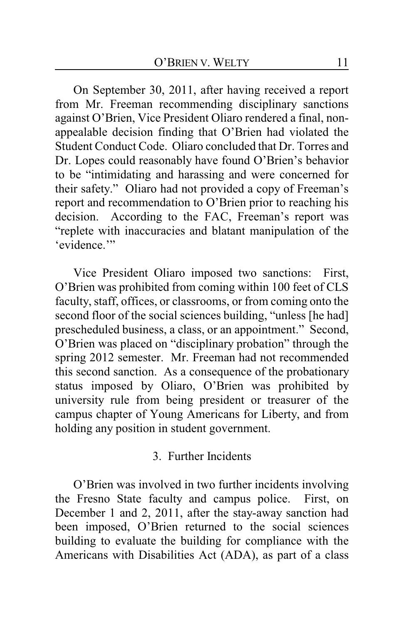On September 30, 2011, after having received a report from Mr. Freeman recommending disciplinary sanctions against O'Brien, Vice President Oliaro rendered a final, nonappealable decision finding that O'Brien had violated the Student Conduct Code. Oliaro concluded that Dr. Torres and Dr. Lopes could reasonably have found O'Brien's behavior to be "intimidating and harassing and were concerned for their safety." Oliaro had not provided a copy of Freeman's report and recommendation to O'Brien prior to reaching his decision. According to the FAC, Freeman's report was "replete with inaccuracies and blatant manipulation of the 'evidence."

Vice President Oliaro imposed two sanctions: First, O'Brien was prohibited from coming within 100 feet of CLS faculty, staff, offices, or classrooms, or from coming onto the second floor of the social sciences building, "unless [he had] prescheduled business, a class, or an appointment." Second, O'Brien was placed on "disciplinary probation" through the spring 2012 semester. Mr. Freeman had not recommended this second sanction. As a consequence of the probationary status imposed by Oliaro, O'Brien was prohibited by university rule from being president or treasurer of the campus chapter of Young Americans for Liberty, and from holding any position in student government.

### 3. Further Incidents

O'Brien was involved in two further incidents involving the Fresno State faculty and campus police. First, on December 1 and 2, 2011, after the stay-away sanction had been imposed, O'Brien returned to the social sciences building to evaluate the building for compliance with the Americans with Disabilities Act (ADA), as part of a class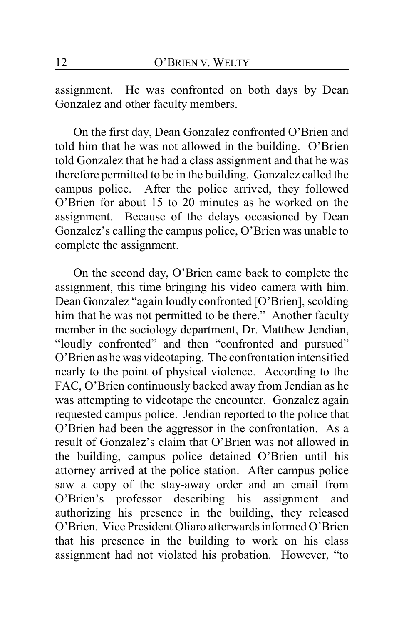assignment. He was confronted on both days by Dean Gonzalez and other faculty members.

On the first day, Dean Gonzalez confronted O'Brien and told him that he was not allowed in the building. O'Brien told Gonzalez that he had a class assignment and that he was therefore permitted to be in the building. Gonzalez called the campus police. After the police arrived, they followed O'Brien for about 15 to 20 minutes as he worked on the assignment. Because of the delays occasioned by Dean Gonzalez's calling the campus police, O'Brien was unable to complete the assignment.

On the second day, O'Brien came back to complete the assignment, this time bringing his video camera with him. Dean Gonzalez "again loudly confronted [O'Brien], scolding him that he was not permitted to be there." Another faculty member in the sociology department, Dr. Matthew Jendian, "loudly confronted" and then "confronted and pursued" O'Brien as he was videotaping. The confrontation intensified nearly to the point of physical violence. According to the FAC, O'Brien continuously backed away from Jendian as he was attempting to videotape the encounter. Gonzalez again requested campus police. Jendian reported to the police that O'Brien had been the aggressor in the confrontation. As a result of Gonzalez's claim that O'Brien was not allowed in the building, campus police detained O'Brien until his attorney arrived at the police station. After campus police saw a copy of the stay-away order and an email from O'Brien's professor describing his assignment and authorizing his presence in the building, they released O'Brien. Vice President Oliaro afterwards informed O'Brien that his presence in the building to work on his class assignment had not violated his probation. However, "to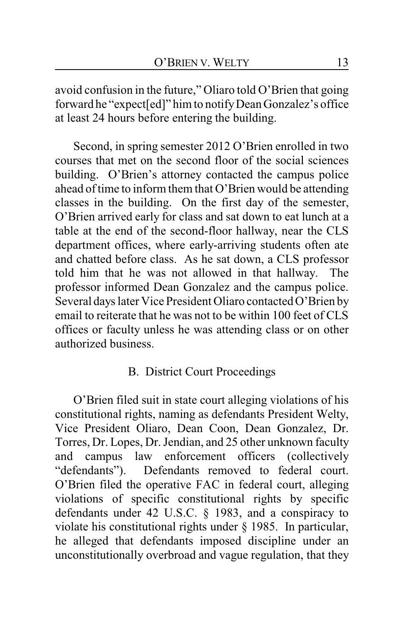avoid confusion in the future," Oliaro told O'Brien that going forward he "expect[ed]" him to notifyDean Gonzalez's office at least 24 hours before entering the building.

Second, in spring semester 2012 O'Brien enrolled in two courses that met on the second floor of the social sciences building. O'Brien's attorney contacted the campus police ahead of time to inform them that O'Brien would be attending classes in the building. On the first day of the semester, O'Brien arrived early for class and sat down to eat lunch at a table at the end of the second-floor hallway, near the CLS department offices, where early-arriving students often ate and chatted before class. As he sat down, a CLS professor told him that he was not allowed in that hallway. The professor informed Dean Gonzalez and the campus police. Several days later Vice President Oliaro contacted O'Brien by email to reiterate that he was not to be within 100 feet of CLS offices or faculty unless he was attending class or on other authorized business.

### B. District Court Proceedings

O'Brien filed suit in state court alleging violations of his constitutional rights, naming as defendants President Welty, Vice President Oliaro, Dean Coon, Dean Gonzalez, Dr. Torres, Dr. Lopes, Dr. Jendian, and 25 other unknown faculty and campus law enforcement officers (collectively "defendants"). Defendants removed to federal court. O'Brien filed the operative FAC in federal court, alleging violations of specific constitutional rights by specific defendants under 42 U.S.C. § 1983, and a conspiracy to violate his constitutional rights under § 1985. In particular, he alleged that defendants imposed discipline under an unconstitutionally overbroad and vague regulation, that they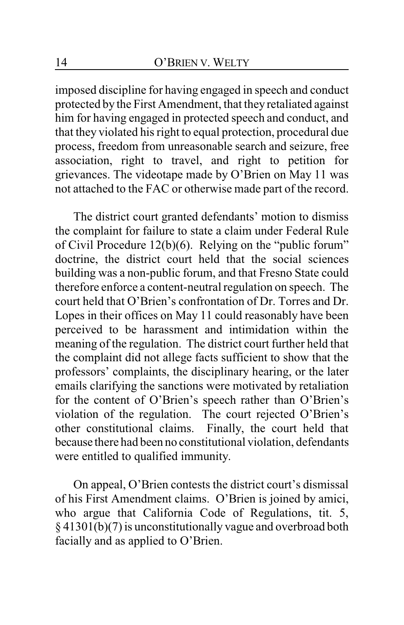imposed discipline for having engaged in speech and conduct protected by the First Amendment, that they retaliated against him for having engaged in protected speech and conduct, and that they violated his right to equal protection, procedural due process, freedom from unreasonable search and seizure, free association, right to travel, and right to petition for grievances. The videotape made by O'Brien on May 11 was not attached to the FAC or otherwise made part of the record.

The district court granted defendants' motion to dismiss the complaint for failure to state a claim under Federal Rule of Civil Procedure 12(b)(6). Relying on the "public forum" doctrine, the district court held that the social sciences building was a non-public forum, and that Fresno State could therefore enforce a content-neutral regulation on speech. The court held that O'Brien's confrontation of Dr. Torres and Dr. Lopes in their offices on May 11 could reasonably have been perceived to be harassment and intimidation within the meaning of the regulation. The district court further held that the complaint did not allege facts sufficient to show that the professors' complaints, the disciplinary hearing, or the later emails clarifying the sanctions were motivated by retaliation for the content of O'Brien's speech rather than O'Brien's violation of the regulation. The court rejected O'Brien's other constitutional claims. Finally, the court held that because there had been no constitutional violation, defendants were entitled to qualified immunity.

On appeal, O'Brien contests the district court's dismissal of his First Amendment claims. O'Brien is joined by amici, who argue that California Code of Regulations, tit. 5, § 41301(b)(7) is unconstitutionally vague and overbroad both facially and as applied to O'Brien.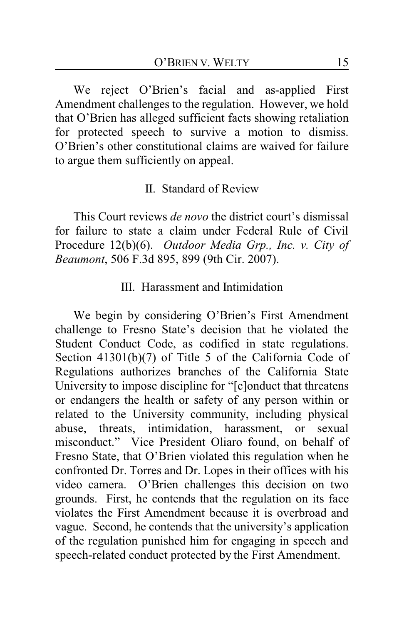We reject O'Brien's facial and as-applied First Amendment challenges to the regulation. However, we hold that O'Brien has alleged sufficient facts showing retaliation for protected speech to survive a motion to dismiss. O'Brien's other constitutional claims are waived for failure to argue them sufficiently on appeal.

### II. Standard of Review

This Court reviews *de novo* the district court's dismissal for failure to state a claim under Federal Rule of Civil Procedure 12(b)(6). *Outdoor Media Grp., Inc. v. City of Beaumont*, 506 F.3d 895, 899 (9th Cir. 2007).

### III. Harassment and Intimidation

We begin by considering O'Brien's First Amendment challenge to Fresno State's decision that he violated the Student Conduct Code, as codified in state regulations. Section 41301(b)(7) of Title 5 of the California Code of Regulations authorizes branches of the California State University to impose discipline for "[c]onduct that threatens or endangers the health or safety of any person within or related to the University community, including physical abuse, threats, intimidation, harassment, or sexual misconduct." Vice President Oliaro found, on behalf of Fresno State, that O'Brien violated this regulation when he confronted Dr. Torres and Dr. Lopes in their offices with his video camera. O'Brien challenges this decision on two grounds. First, he contends that the regulation on its face violates the First Amendment because it is overbroad and vague. Second, he contends that the university's application of the regulation punished him for engaging in speech and speech-related conduct protected by the First Amendment.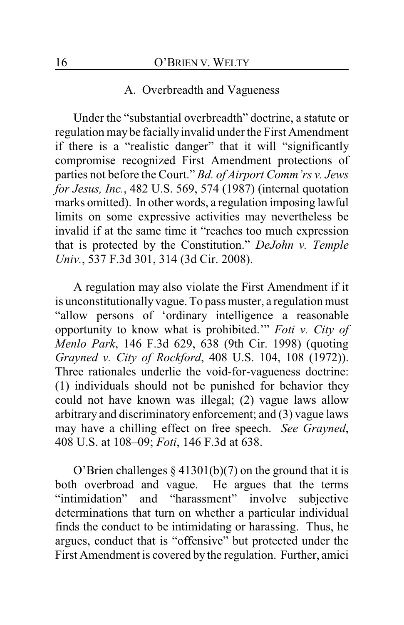#### A. Overbreadth and Vagueness

Under the "substantial overbreadth" doctrine, a statute or regulation may be faciallyinvalid under the First Amendment if there is a "realistic danger" that it will "significantly compromise recognized First Amendment protections of parties not before the Court." *Bd. of Airport Comm'rs v. Jews for Jesus, Inc.*, 482 U.S. 569, 574 (1987) (internal quotation marks omitted). In other words, a regulation imposing lawful limits on some expressive activities may nevertheless be invalid if at the same time it "reaches too much expression that is protected by the Constitution." *DeJohn v. Temple Univ.*, 537 F.3d 301, 314 (3d Cir. 2008).

A regulation may also violate the First Amendment if it is unconstitutionally vague. To pass muster, a regulation must "allow persons of 'ordinary intelligence a reasonable opportunity to know what is prohibited.'" *Foti v. City of Menlo Park*, 146 F.3d 629, 638 (9th Cir. 1998) (quoting *Grayned v. City of Rockford*, 408 U.S. 104, 108 (1972)). Three rationales underlie the void-for-vagueness doctrine: (1) individuals should not be punished for behavior they could not have known was illegal; (2) vague laws allow arbitrary and discriminatory enforcement; and (3) vague laws may have a chilling effect on free speech. *See Grayned*, 408 U.S. at 108–09; *Foti*, 146 F.3d at 638.

O'Brien challenges  $\S 41301(b)(7)$  on the ground that it is both overbroad and vague. He argues that the terms "intimidation" and "harassment" involve subjective determinations that turn on whether a particular individual finds the conduct to be intimidating or harassing. Thus, he argues, conduct that is "offensive" but protected under the First Amendment is covered by the regulation. Further, amici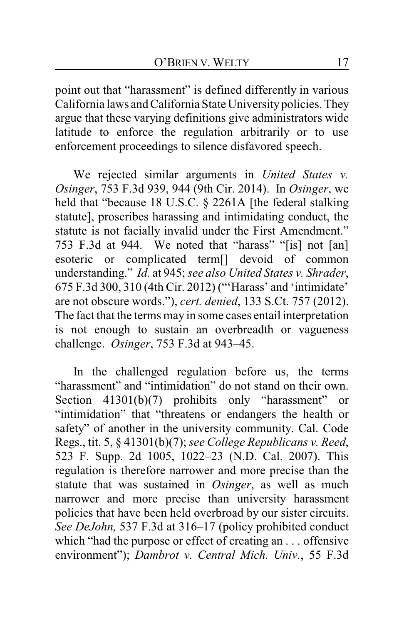point out that "harassment" is defined differently in various California laws and California State Universitypolicies. They argue that these varying definitions give administrators wide latitude to enforce the regulation arbitrarily or to use enforcement proceedings to silence disfavored speech.

We rejected similar arguments in *United States v. Osinger*, 753 F.3d 939, 944 (9th Cir. 2014). In *Osinger*, we held that "because 18 U.S.C. § 2261A [the federal stalking statute], proscribes harassing and intimidating conduct, the statute is not facially invalid under the First Amendment." 753 F.3d at 944. We noted that "harass" "[is] not [an] esoteric or complicated term[] devoid of common understanding." *Id.* at 945; *see also United States v. Shrader*, 675 F.3d 300, 310 (4th Cir. 2012) ("'Harass' and 'intimidate' are not obscure words."), *cert. denied*, 133 S.Ct. 757 (2012). The fact that the terms may in some cases entail interpretation is not enough to sustain an overbreadth or vagueness challenge. *Osinger*, 753 F.3d at 943–45.

In the challenged regulation before us, the terms "harassment" and "intimidation" do not stand on their own. Section 41301(b)(7) prohibits only "harassment" or "intimidation" that "threatens or endangers the health or safety" of another in the university community. Cal. Code Regs., tit. 5, § 41301(b)(7); *see College Republicans v. Reed*, 523 F. Supp. 2d 1005, 1022–23 (N.D. Cal. 2007). This regulation is therefore narrower and more precise than the statute that was sustained in *Osinger*, as well as much narrower and more precise than university harassment policies that have been held overbroad by our sister circuits. *See DeJohn,* 537 F.3d at 316–17 (policy prohibited conduct which "had the purpose or effect of creating an . . . offensive environment"); *Dambrot v. Central Mich. Univ.*, 55 F.3d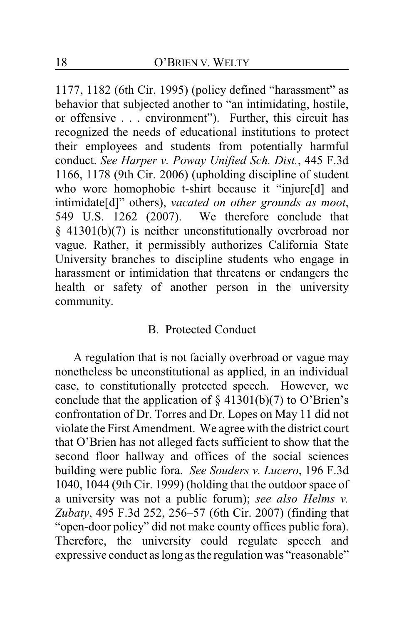1177, 1182 (6th Cir. 1995) (policy defined "harassment" as behavior that subjected another to "an intimidating, hostile, or offensive . . . environment"). Further, this circuit has recognized the needs of educational institutions to protect their employees and students from potentially harmful conduct. *See Harper v. Poway Unified Sch. Dist.*, 445 F.3d 1166, 1178 (9th Cir. 2006) (upholding discipline of student who wore homophobic t-shirt because it "injure[d] and intimidate[d]" others), *vacated on other grounds as moot*, 549 U.S. 1262 (2007). We therefore conclude that § 41301(b)(7) is neither unconstitutionally overbroad nor vague. Rather, it permissibly authorizes California State University branches to discipline students who engage in harassment or intimidation that threatens or endangers the health or safety of another person in the university community.

## B. Protected Conduct

A regulation that is not facially overbroad or vague may nonetheless be unconstitutional as applied, in an individual case, to constitutionally protected speech. However, we conclude that the application of  $\S$  41301(b)(7) to O'Brien's confrontation of Dr. Torres and Dr. Lopes on May 11 did not violate the First Amendment. We agree with the district court that O'Brien has not alleged facts sufficient to show that the second floor hallway and offices of the social sciences building were public fora. *See Souders v. Lucero*, 196 F.3d 1040, 1044 (9th Cir. 1999) (holding that the outdoor space of a university was not a public forum); *see also Helms v. Zubaty*, 495 F.3d 252, 256–57 (6th Cir. 2007) (finding that "open-door policy" did not make county offices public fora). Therefore, the university could regulate speech and expressive conduct as long as the regulation was "reasonable"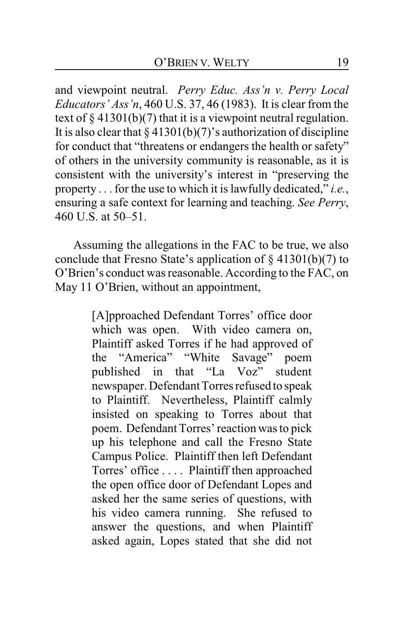and viewpoint neutral. *Perry Educ. Ass'n v. Perry Local Educators' Ass'n*, 460 U.S. 37, 46 (1983). It is clear from the text of  $\S 41301(b)(7)$  that it is a viewpoint neutral regulation. It is also clear that  $\S 41301(b)(7)$ 's authorization of discipline for conduct that "threatens or endangers the health or safety" of others in the university community is reasonable, as it is consistent with the university's interest in "preserving the property . . . for the use to which it is lawfully dedicated," *i.e.*, ensuring a safe context for learning and teaching. *See Perry*, 460 U.S. at 50–51.

Assuming the allegations in the FAC to be true, we also conclude that Fresno State's application of § 41301(b)(7) to O'Brien's conduct was reasonable. According to the FAC, on May 11 O'Brien, without an appointment,

> [A]pproached Defendant Torres' office door which was open. With video camera on, Plaintiff asked Torres if he had approved of the "America" "White Savage" poem published in that "La Voz" student newspaper. Defendant Torres refused to speak to Plaintiff. Nevertheless, Plaintiff calmly insisted on speaking to Torres about that poem. Defendant Torres' reaction was to pick up his telephone and call the Fresno State Campus Police. Plaintiff then left Defendant Torres' office . . . . Plaintiff then approached the open office door of Defendant Lopes and asked her the same series of questions, with his video camera running. She refused to answer the questions, and when Plaintiff asked again, Lopes stated that she did not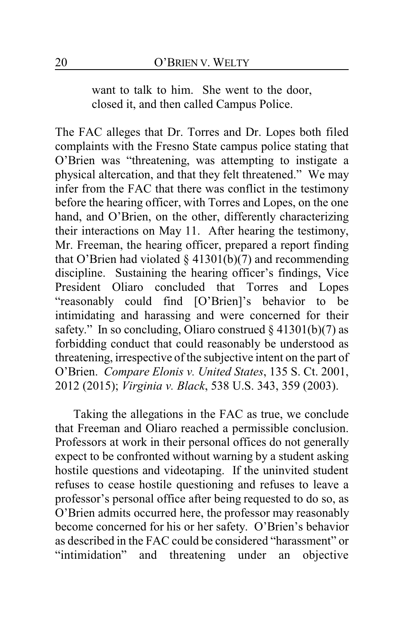want to talk to him. She went to the door, closed it, and then called Campus Police.

The FAC alleges that Dr. Torres and Dr. Lopes both filed complaints with the Fresno State campus police stating that O'Brien was "threatening, was attempting to instigate a physical altercation, and that they felt threatened." We may infer from the FAC that there was conflict in the testimony before the hearing officer, with Torres and Lopes, on the one hand, and O'Brien, on the other, differently characterizing their interactions on May 11. After hearing the testimony, Mr. Freeman, the hearing officer, prepared a report finding that O'Brien had violated  $\S$  41301(b)(7) and recommending discipline. Sustaining the hearing officer's findings, Vice President Oliaro concluded that Torres and Lopes "reasonably could find [O'Brien]'s behavior to be intimidating and harassing and were concerned for their safety." In so concluding, Oliaro construed  $\S 41301(b)(7)$  as forbidding conduct that could reasonably be understood as threatening, irrespective of the subjective intent on the part of O'Brien. *Compare Elonis v. United States*, 135 S. Ct. 2001, 2012 (2015); *Virginia v. Black*, 538 U.S. 343, 359 (2003).

Taking the allegations in the FAC as true, we conclude that Freeman and Oliaro reached a permissible conclusion. Professors at work in their personal offices do not generally expect to be confronted without warning by a student asking hostile questions and videotaping. If the uninvited student refuses to cease hostile questioning and refuses to leave a professor's personal office after being requested to do so, as O'Brien admits occurred here, the professor may reasonably become concerned for his or her safety. O'Brien's behavior as described in the FAC could be considered "harassment" or "intimidation" and threatening under an objective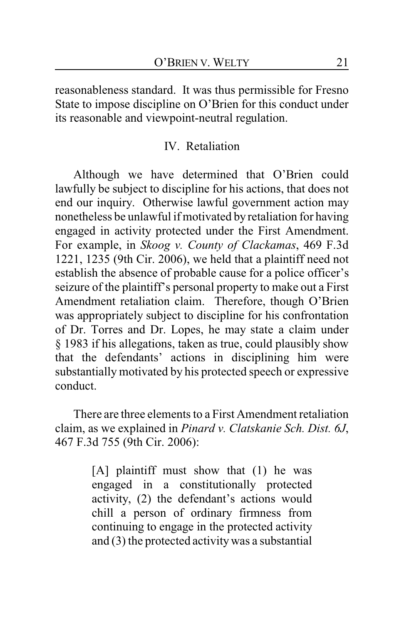reasonableness standard. It was thus permissible for Fresno State to impose discipline on O'Brien for this conduct under its reasonable and viewpoint-neutral regulation.

### IV. Retaliation

Although we have determined that O'Brien could lawfully be subject to discipline for his actions, that does not end our inquiry. Otherwise lawful government action may nonetheless be unlawful if motivated by retaliation for having engaged in activity protected under the First Amendment. For example, in *Skoog v. County of Clackamas*, 469 F.3d 1221, 1235 (9th Cir. 2006), we held that a plaintiff need not establish the absence of probable cause for a police officer's seizure of the plaintiff's personal property to make out a First Amendment retaliation claim. Therefore, though O'Brien was appropriately subject to discipline for his confrontation of Dr. Torres and Dr. Lopes, he may state a claim under § 1983 if his allegations, taken as true, could plausibly show that the defendants' actions in disciplining him were substantially motivated by his protected speech or expressive conduct.

There are three elements to a First Amendment retaliation claim, as we explained in *Pinard v. Clatskanie Sch. Dist. 6J*, 467 F.3d 755 (9th Cir. 2006):

> [A] plaintiff must show that (1) he was engaged in a constitutionally protected activity, (2) the defendant's actions would chill a person of ordinary firmness from continuing to engage in the protected activity and (3) the protected activitywas a substantial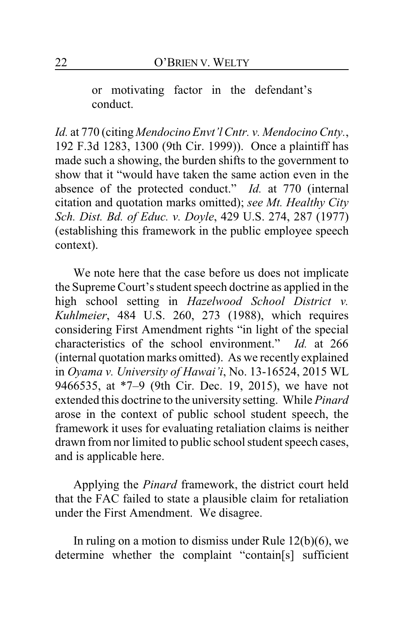or motivating factor in the defendant's conduct.

*Id.* at 770 (citing *Mendocino Envt'l Cntr. v. Mendocino Cnty.*, 192 F.3d 1283, 1300 (9th Cir. 1999)). Once a plaintiff has made such a showing, the burden shifts to the government to show that it "would have taken the same action even in the absence of the protected conduct." *Id.* at 770 (internal citation and quotation marks omitted); *see Mt. Healthy City Sch. Dist. Bd. of Educ. v. Doyle*, 429 U.S. 274, 287 (1977) (establishing this framework in the public employee speech context).

We note here that the case before us does not implicate the Supreme Court's student speech doctrine as applied in the high school setting in *Hazelwood School District v. Kuhlmeier*, 484 U.S. 260, 273 (1988), which requires considering First Amendment rights "in light of the special characteristics of the school environment." *Id.* at 266 (internal quotation marks omitted). As we recently explained in *Oyama v. University of Hawai'i*, No. 13-16524, 2015 WL 9466535, at \*7–9 (9th Cir. Dec. 19, 2015), we have not extended this doctrine to the university setting. While *Pinard* arose in the context of public school student speech, the framework it uses for evaluating retaliation claims is neither drawn from nor limited to public school student speech cases, and is applicable here.

Applying the *Pinard* framework, the district court held that the FAC failed to state a plausible claim for retaliation under the First Amendment. We disagree.

In ruling on a motion to dismiss under Rule  $12(b)(6)$ , we determine whether the complaint "contain[s] sufficient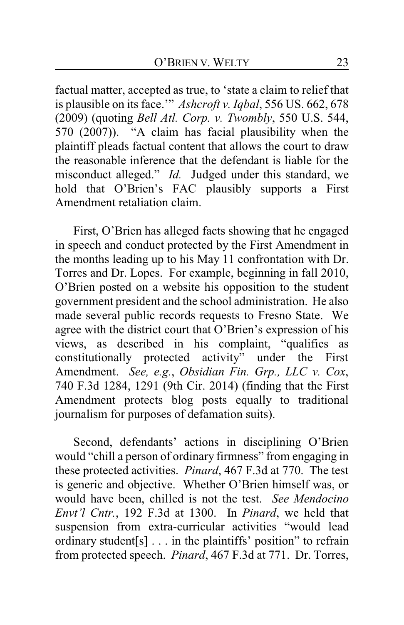factual matter, accepted as true, to 'state a claim to relief that is plausible on its face.'" *Ashcroft v. Iqbal*, 556 US. 662, 678 (2009) (quoting *Bell Atl. Corp. v. Twombly*, 550 U.S. 544, 570 (2007)). "A claim has facial plausibility when the plaintiff pleads factual content that allows the court to draw the reasonable inference that the defendant is liable for the misconduct alleged." *Id.* Judged under this standard, we hold that O'Brien's FAC plausibly supports a First Amendment retaliation claim.

First, O'Brien has alleged facts showing that he engaged in speech and conduct protected by the First Amendment in the months leading up to his May 11 confrontation with Dr. Torres and Dr. Lopes. For example, beginning in fall 2010, O'Brien posted on a website his opposition to the student government president and the school administration. He also made several public records requests to Fresno State. We agree with the district court that O'Brien's expression of his views, as described in his complaint, "qualifies as constitutionally protected activity" under the First Amendment. *See, e.g.*, *Obsidian Fin. Grp., LLC v. Cox*, 740 F.3d 1284, 1291 (9th Cir. 2014) (finding that the First Amendment protects blog posts equally to traditional journalism for purposes of defamation suits).

Second, defendants' actions in disciplining O'Brien would "chill a person of ordinary firmness" from engaging in these protected activities. *Pinard*, 467 F.3d at 770. The test is generic and objective. Whether O'Brien himself was, or would have been, chilled is not the test. *See Mendocino Envt'l Cntr.*, 192 F.3d at 1300. In *Pinard*, we held that suspension from extra-curricular activities "would lead ordinary student[s] . . . in the plaintiffs' position" to refrain from protected speech. *Pinard*, 467 F.3d at 771. Dr. Torres,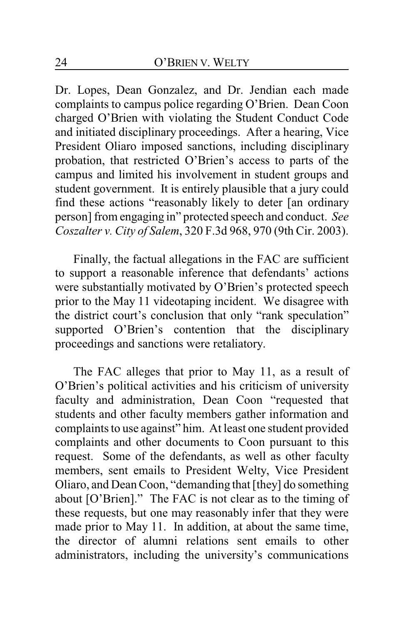Dr. Lopes, Dean Gonzalez, and Dr. Jendian each made complaints to campus police regarding O'Brien. Dean Coon charged O'Brien with violating the Student Conduct Code and initiated disciplinary proceedings. After a hearing, Vice President Oliaro imposed sanctions, including disciplinary probation, that restricted O'Brien's access to parts of the campus and limited his involvement in student groups and student government. It is entirely plausible that a jury could find these actions "reasonably likely to deter [an ordinary person] from engaging in" protected speech and conduct. *See Coszalter v. City of Salem*, 320 F.3d 968, 970 (9th Cir. 2003).

Finally, the factual allegations in the FAC are sufficient to support a reasonable inference that defendants' actions were substantially motivated by O'Brien's protected speech prior to the May 11 videotaping incident. We disagree with the district court's conclusion that only "rank speculation" supported O'Brien's contention that the disciplinary proceedings and sanctions were retaliatory.

The FAC alleges that prior to May 11, as a result of O'Brien's political activities and his criticism of university faculty and administration, Dean Coon "requested that students and other faculty members gather information and complaints to use against" him. At least one student provided complaints and other documents to Coon pursuant to this request. Some of the defendants, as well as other faculty members, sent emails to President Welty, Vice President Oliaro, and Dean Coon, "demanding that [they] do something about [O'Brien]." The FAC is not clear as to the timing of these requests, but one may reasonably infer that they were made prior to May 11. In addition, at about the same time, the director of alumni relations sent emails to other administrators, including the university's communications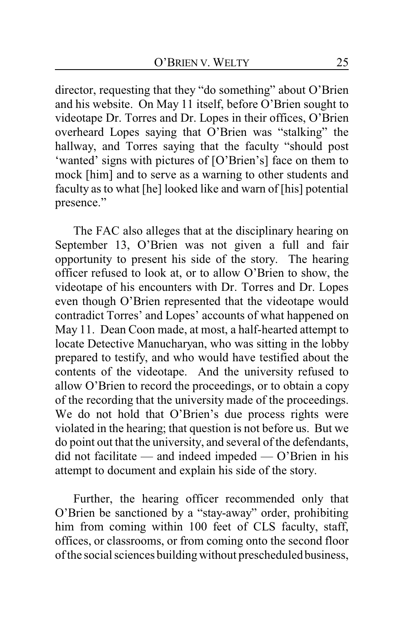director, requesting that they "do something" about O'Brien and his website. On May 11 itself, before O'Brien sought to videotape Dr. Torres and Dr. Lopes in their offices, O'Brien overheard Lopes saying that O'Brien was "stalking" the hallway, and Torres saying that the faculty "should post 'wanted' signs with pictures of [O'Brien's] face on them to mock [him] and to serve as a warning to other students and faculty as to what [he] looked like and warn of [his] potential presence."

The FAC also alleges that at the disciplinary hearing on September 13, O'Brien was not given a full and fair opportunity to present his side of the story. The hearing officer refused to look at, or to allow O'Brien to show, the videotape of his encounters with Dr. Torres and Dr. Lopes even though O'Brien represented that the videotape would contradict Torres' and Lopes' accounts of what happened on May 11. Dean Coon made, at most, a half-hearted attempt to locate Detective Manucharyan, who was sitting in the lobby prepared to testify, and who would have testified about the contents of the videotape. And the university refused to allow O'Brien to record the proceedings, or to obtain a copy of the recording that the university made of the proceedings. We do not hold that O'Brien's due process rights were violated in the hearing; that question is not before us. But we do point out that the university, and several of the defendants, did not facilitate — and indeed impeded — O'Brien in his attempt to document and explain his side of the story.

Further, the hearing officer recommended only that O'Brien be sanctioned by a "stay-away" order, prohibiting him from coming within 100 feet of CLS faculty, staff, offices, or classrooms, or from coming onto the second floor of the social sciences building without prescheduledbusiness,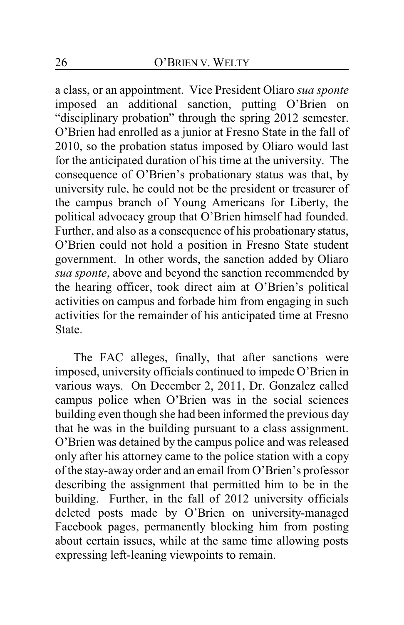a class, or an appointment. Vice President Oliaro *sua sponte* imposed an additional sanction, putting O'Brien on "disciplinary probation" through the spring 2012 semester. O'Brien had enrolled as a junior at Fresno State in the fall of 2010, so the probation status imposed by Oliaro would last for the anticipated duration of his time at the university. The consequence of O'Brien's probationary status was that, by university rule, he could not be the president or treasurer of the campus branch of Young Americans for Liberty, the political advocacy group that O'Brien himself had founded. Further, and also as a consequence of his probationary status, O'Brien could not hold a position in Fresno State student government. In other words, the sanction added by Oliaro *sua sponte*, above and beyond the sanction recommended by the hearing officer, took direct aim at O'Brien's political activities on campus and forbade him from engaging in such activities for the remainder of his anticipated time at Fresno State.

The FAC alleges, finally, that after sanctions were imposed, university officials continued to impede O'Brien in various ways. On December 2, 2011, Dr. Gonzalez called campus police when O'Brien was in the social sciences building even though she had been informed the previous day that he was in the building pursuant to a class assignment. O'Brien was detained by the campus police and was released only after his attorney came to the police station with a copy of the stay-away order and an email from O'Brien's professor describing the assignment that permitted him to be in the building. Further, in the fall of 2012 university officials deleted posts made by O'Brien on university-managed Facebook pages, permanently blocking him from posting about certain issues, while at the same time allowing posts expressing left-leaning viewpoints to remain.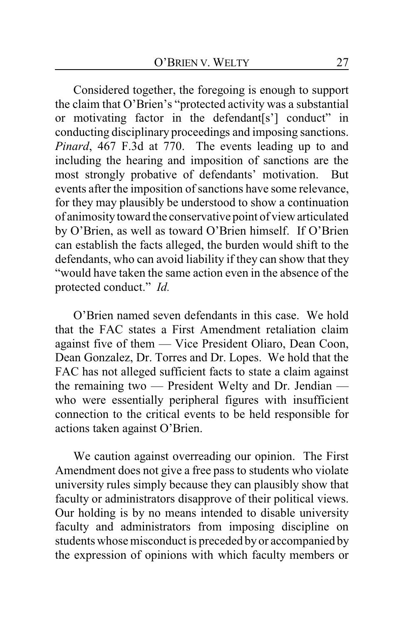Considered together, the foregoing is enough to support the claim that O'Brien's "protected activity was a substantial or motivating factor in the defendant[s'] conduct" in conducting disciplinary proceedings and imposing sanctions. *Pinard*, 467 F.3d at 770. The events leading up to and including the hearing and imposition of sanctions are the most strongly probative of defendants' motivation. But events after the imposition of sanctions have some relevance, for they may plausibly be understood to show a continuation of animosity toward the conservative point of view articulated by O'Brien, as well as toward O'Brien himself. If O'Brien can establish the facts alleged, the burden would shift to the defendants, who can avoid liability if they can show that they "would have taken the same action even in the absence of the protected conduct." *Id.*

O'Brien named seven defendants in this case. We hold that the FAC states a First Amendment retaliation claim against five of them — Vice President Oliaro, Dean Coon, Dean Gonzalez, Dr. Torres and Dr. Lopes. We hold that the FAC has not alleged sufficient facts to state a claim against the remaining two — President Welty and Dr. Jendian who were essentially peripheral figures with insufficient connection to the critical events to be held responsible for actions taken against O'Brien.

We caution against overreading our opinion. The First Amendment does not give a free pass to students who violate university rules simply because they can plausibly show that faculty or administrators disapprove of their political views. Our holding is by no means intended to disable university faculty and administrators from imposing discipline on students whose misconduct is preceded by or accompanied by the expression of opinions with which faculty members or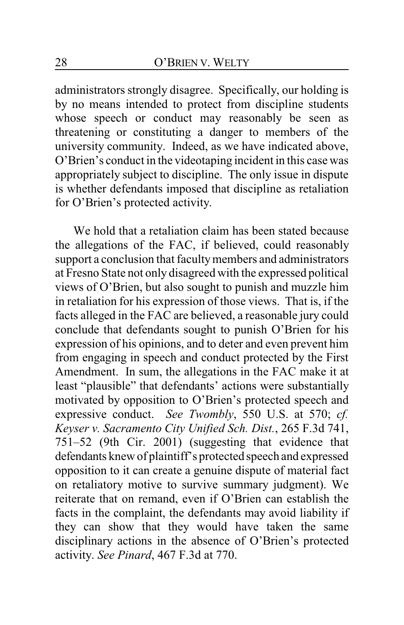administrators strongly disagree. Specifically, our holding is by no means intended to protect from discipline students whose speech or conduct may reasonably be seen as threatening or constituting a danger to members of the university community. Indeed, as we have indicated above, O'Brien's conduct in the videotaping incident in this case was appropriately subject to discipline. The only issue in dispute is whether defendants imposed that discipline as retaliation for O'Brien's protected activity.

We hold that a retaliation claim has been stated because the allegations of the FAC, if believed, could reasonably support a conclusion that faculty members and administrators at Fresno State not only disagreed with the expressed political views of O'Brien, but also sought to punish and muzzle him in retaliation for his expression of those views. That is, if the facts alleged in the FAC are believed, a reasonable jury could conclude that defendants sought to punish O'Brien for his expression of his opinions, and to deter and even prevent him from engaging in speech and conduct protected by the First Amendment. In sum, the allegations in the FAC make it at least "plausible" that defendants' actions were substantially motivated by opposition to O'Brien's protected speech and expressive conduct. *See Twombly*, 550 U.S. at 570; *cf. Keyser v. Sacramento City Unified Sch. Dist.*, 265 F.3d 741, 751–52 (9th Cir. 2001) (suggesting that evidence that defendants knew of plaintiff's protected speech and expressed opposition to it can create a genuine dispute of material fact on retaliatory motive to survive summary judgment). We reiterate that on remand, even if O'Brien can establish the facts in the complaint, the defendants may avoid liability if they can show that they would have taken the same disciplinary actions in the absence of O'Brien's protected activity. *See Pinard*, 467 F.3d at 770.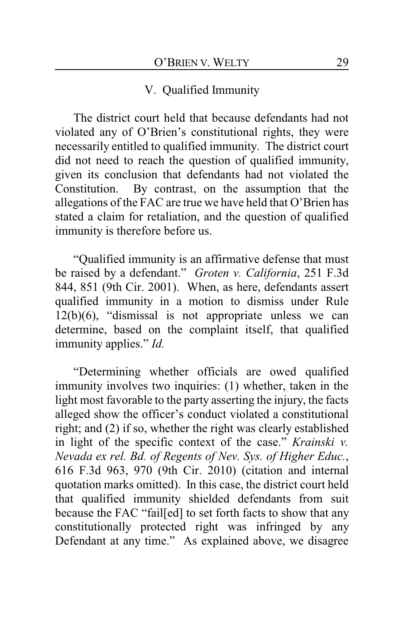### V. Qualified Immunity

The district court held that because defendants had not violated any of O'Brien's constitutional rights, they were necessarily entitled to qualified immunity. The district court did not need to reach the question of qualified immunity, given its conclusion that defendants had not violated the Constitution. By contrast, on the assumption that the allegations of the FAC are true we have held that O'Brien has stated a claim for retaliation, and the question of qualified immunity is therefore before us.

"Qualified immunity is an affirmative defense that must be raised by a defendant." *Groten v. California*, 251 F.3d 844, 851 (9th Cir. 2001). When, as here, defendants assert qualified immunity in a motion to dismiss under Rule 12(b)(6), "dismissal is not appropriate unless we can determine, based on the complaint itself, that qualified immunity applies." *Id.*

"Determining whether officials are owed qualified immunity involves two inquiries: (1) whether, taken in the light most favorable to the party asserting the injury, the facts alleged show the officer's conduct violated a constitutional right; and (2) if so, whether the right was clearly established in light of the specific context of the case." *Krainski v. Nevada ex rel. Bd. of Regents of Nev. Sys. of Higher Educ.*, 616 F.3d 963, 970 (9th Cir. 2010) (citation and internal quotation marks omitted). In this case, the district court held that qualified immunity shielded defendants from suit because the FAC "fail[ed] to set forth facts to show that any constitutionally protected right was infringed by any Defendant at any time." As explained above, we disagree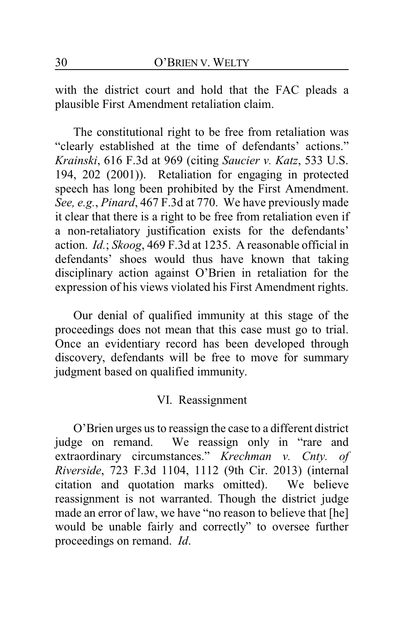with the district court and hold that the FAC pleads a plausible First Amendment retaliation claim.

The constitutional right to be free from retaliation was "clearly established at the time of defendants' actions." *Krainski*, 616 F.3d at 969 (citing *Saucier v. Katz*, 533 U.S. 194, 202 (2001)). Retaliation for engaging in protected speech has long been prohibited by the First Amendment. *See, e.g.*, *Pinard*, 467 F.3d at 770. We have previously made it clear that there is a right to be free from retaliation even if a non-retaliatory justification exists for the defendants' action. *Id.*; *Skoog*, 469 F.3d at 1235. A reasonable official in defendants' shoes would thus have known that taking disciplinary action against O'Brien in retaliation for the expression of his views violated his First Amendment rights.

Our denial of qualified immunity at this stage of the proceedings does not mean that this case must go to trial. Once an evidentiary record has been developed through discovery, defendants will be free to move for summary judgment based on qualified immunity.

#### VI. Reassignment

O'Brien urges us to reassign the case to a different district judge on remand. We reassign only in "rare and extraordinary circumstances." *Krechman v. Cnty. of Riverside*, 723 F.3d 1104, 1112 (9th Cir. 2013) (internal citation and quotation marks omitted). We believe reassignment is not warranted. Though the district judge made an error of law, we have "no reason to believe that [he] would be unable fairly and correctly" to oversee further proceedings on remand. *Id*.